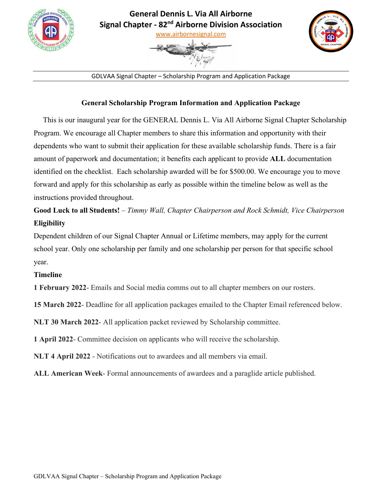







GDLVAA Signal Chapter – Scholarship Program and Application Package

### **General Scholarship Program Information and Application Package**

 This is our inaugural year for the GENERAL Dennis L. Via All Airborne Signal Chapter Scholarship Program. We encourage all Chapter members to share this information and opportunity with their dependents who want to submit their application for these available scholarship funds. There is a fair amount of paperwork and documentation; it benefits each applicant to provide **ALL** documentation identified on the checklist. Each scholarship awarded will be for \$500.00. We encourage you to move forward and apply for this scholarship as early as possible within the timeline below as well as the instructions provided throughout.

# **Good Luck to all Students!** – *Timmy Wall, Chapter Chairperson and Rock Schmidt, Vice Chairperson*  **Eligibility**

Dependent children of our Signal Chapter Annual or Lifetime members, may apply for the current school year. Only one scholarship per family and one scholarship per person for that specific school year.

### **Timeline**

**1 February 2022**- Emails and Social media comms out to all chapter members on our rosters.

**15 March 2022**- Deadline for all application packages emailed to the Chapter Email referenced below.

**NLT 30 March 2022**- All application packet reviewed by Scholarship committee.

**1 April 2022**- Committee decision on applicants who will receive the scholarship.

**NLT 4 April 2022** - Notifications out to awardees and all members via email.

**ALL American Week**- Formal announcements of awardees and a paraglide article published.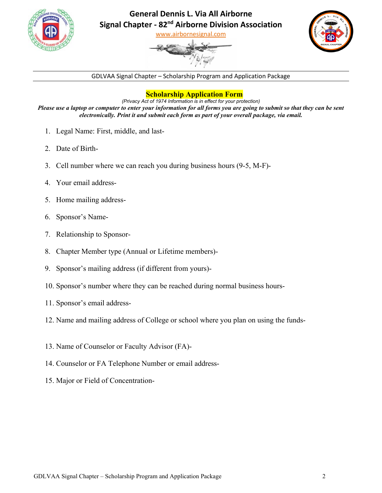

## **General Dennis L. Via All Airborne Signal Chapter - 82nd Airborne Division Association**

[www.airbornesignal.com](about:blank)





GDLVAA Signal Chapter – Scholarship Program and Application Package

### **Scholarship Application Form**

*(Privacy Act of 1974 Information is in effect for your protection) Please use a laptop or computer to enter your information for all forms you are going to submit so that they can be sent electronically. Print it and submit each form as part of your overall package, via email.* 

- 1. Legal Name: First, middle, and last-
- 2. Date of Birth-
- 3. Cell number where we can reach you during business hours (9-5, M-F)-
- 4. Your email address-
- 5. Home mailing address-
- 6. Sponsor's Name-
- 7. Relationship to Sponsor-
- 8. Chapter Member type (Annual or Lifetime members)-
- 9. Sponsor's mailing address (if different from yours)-
- 10. Sponsor's number where they can be reached during normal business hours-
- 11. Sponsor's email address-
- 12. Name and mailing address of College or school where you plan on using the funds-
- 13. Name of Counselor or Faculty Advisor (FA)-
- 14. Counselor or FA Telephone Number or email address-
- 15. Major or Field of Concentration-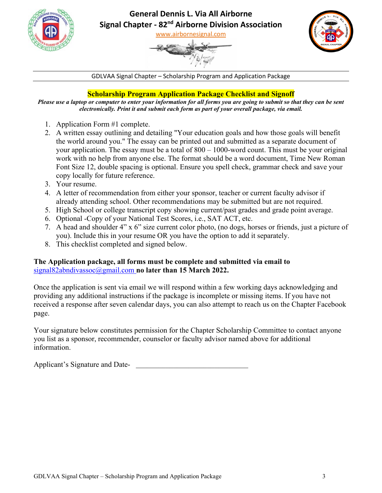

# **General Dennis L. Via All Airborne Signal Chapter - 82nd Airborne Division Association**

[www.airbornesignal.com](about:blank)





GDLVAA Signal Chapter – Scholarship Program and Application Package

### **Scholarship Program Application Package Checklist and Signoff**

*Please use a laptop or computer to enter your information for all forms you are going to submit so that they can be sent electronically. Print it and submit each form as part of your overall package, via email.*

- 1. Application Form #1 complete.
- 2. A written essay outlining and detailing "Your education goals and how those goals will benefit the world around you." The essay can be printed out and submitted as a separate document of your application. The essay must be a total of 800 – 1000-word count. This must be your original work with no help from anyone else. The format should be a word document, Time New Roman Font Size 12, double spacing is optional. Ensure you spell check, grammar check and save your copy locally for future reference.
- 3. Your resume.
- 4. A letter of recommendation from either your sponsor, teacher or current faculty advisor if already attending school. Other recommendations may be submitted but are not required.
- 5. High School or college transcript copy showing current/past grades and grade point average.
- 6. Optional -Copy of your National Test Scores, i.e., SAT ACT, etc.
- 7. A head and shoulder 4" x 6" size current color photo, (no dogs, horses or friends, just a picture of you). Include this in your resume OR you have the option to add it separately.
- 8. This checklist completed and signed below.

### **The Application package, all forms must be complete and submitted via email to**  [signal82abndivassoc@gmail.com](about:blank) **no later than 15 March 2022.**

Once the application is sent via email we will respond within a few working days acknowledging and providing any additional instructions if the package is incomplete or missing items. If you have not received a response after seven calendar days, you can also attempt to reach us on the Chapter Facebook page.

Your signature below constitutes permission for the Chapter Scholarship Committee to contact anyone you list as a sponsor, recommender, counselor or faculty advisor named above for additional information.

Applicant's Signature and Date-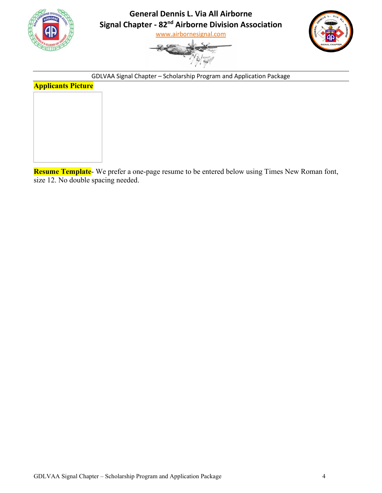

**General Dennis L. Via All Airborne Signal Chapter - 82nd Airborne Division Association**

[www.airbornesignal.com](about:blank)





GDLVAA Signal Chapter – Scholarship Program and Application Package

# **Applicants Picture**

**Resume Template**- We prefer a one-page resume to be entered below using Times New Roman font, size 12. No double spacing needed.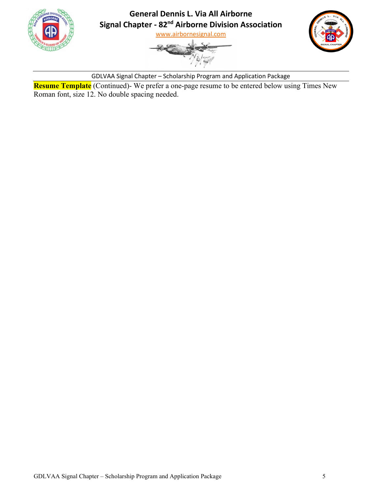





GDLVAA Signal Chapter – Scholarship Program and Application Package

**Resume Template** (Continued)- We prefer a one-page resume to be entered below using Times New Roman font, size 12. No double spacing needed.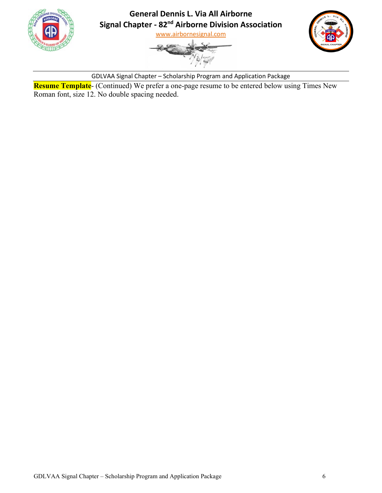





GDLVAA Signal Chapter – Scholarship Program and Application Package

**Resume Template**- (Continued) We prefer a one-page resume to be entered below using Times New Roman font, size 12. No double spacing needed.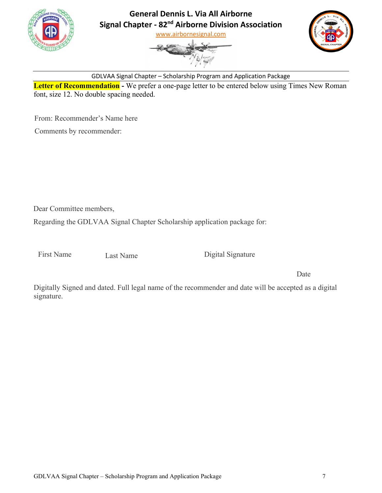





GDLVAA Signal Chapter – Scholarship Program and Application Package

**Letter of Recommendation** - We prefer a one-page letter to be entered below using Times New Roman font, size 12. No double spacing needed.

From: Recommender's Name here

Comments by recommender:

Dear Committee members,

Regarding the GDLVAA Signal Chapter Scholarship application package for:

First Name Last Name

Digital Signature

Date

Digitally Signed and dated. Full legal name of the recommender and date will be accepted as a digital signature.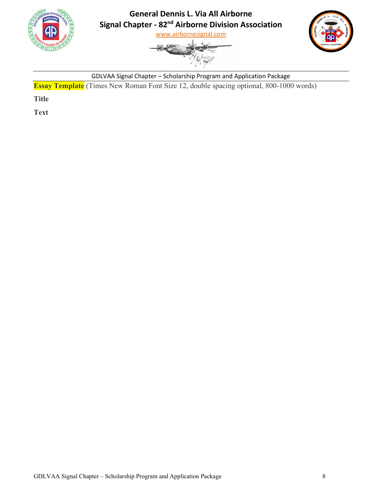





GDLVAA Signal Chapter – Scholarship Program and Application Package

**Essay Template** (Times New Roman Font Size 12, double spacing optional, 800-1000 words)

**Title**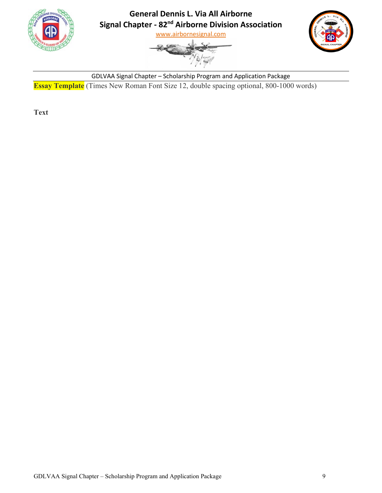





GDLVAA Signal Chapter – Scholarship Program and Application Package **Essay Template** (Times New Roman Font Size 12, double spacing optional, 800-1000 words)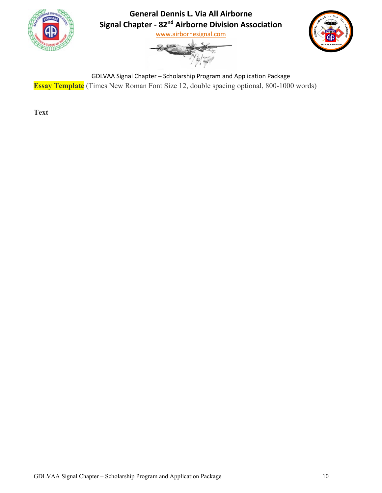





GDLVAA Signal Chapter – Scholarship Program and Application Package **Essay Template** (Times New Roman Font Size 12, double spacing optional, 800-1000 words)